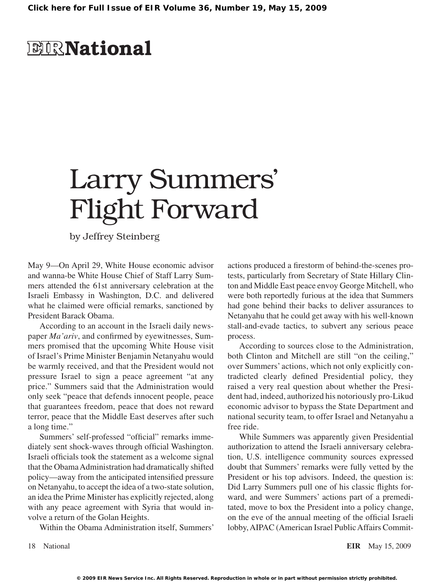## **ELR**National

# Larry Summers' Flight Forward

by Jeffrey Steinberg

May 9—On April 29, White House economic advisor and wanna-be White House Chief of Staff Larry Summers attended the 61st anniversary celebration at the Israeli Embassy in Washington, D.C. and delivered what he claimed were official remarks, sanctioned by President Barack Obama.

According to an account in the Israeli daily newspaper *Ma'ariv*, and confirmed by eyewitnesses, Summers promised that the upcoming White House visit of Israel's Prime Minister Benjamin Netanyahu would be warmly received, and that the President would not pressure Israel to sign a peace agreement "at any price." Summers said that the Administration would only seek "peace that defends innocent people, peace that guarantees freedom, peace that does not reward terror, peace that the Middle East deserves after such a long time."

Summers' self-professed "official" remarks immediately sent shock-waves through official Washington. Israeli officials took the statement as a welcome signal that the Obama Administration had dramatically shifted policy—away from the anticipated intensified pressure on Netanyahu, to accept the idea of a two-state solution, an idea the Prime Minister has explicitly rejected, along with any peace agreement with Syria that would involve a return of the Golan Heights.

Within the Obama Administration itself, Summers'

actions produced a firestorm of behind-the-scenes protests, particularly from Secretary of State Hillary Clinton and Middle East peace envoy George Mitchell, who were both reportedly furious at the idea that Summers had gone behind their backs to deliver assurances to Netanyahu that he could get away with his well-known stall-and-evade tactics, to subvert any serious peace process.

According to sources close to the Administration, both Clinton and Mitchell are still "on the ceiling," over Summers' actions, which not only explicitly contradicted clearly defined Presidential policy, they raised a very real question about whether the President had, indeed, authorized his notoriously pro-Likud economic advisor to bypass the State Department and national security team, to offer Israel and Netanyahu a free ride.

While Summers was apparently given Presidential authorization to attend the Israeli anniversary celebration, U.S. intelligence community sources expressed doubt that Summers' remarks were fully vetted by the President or his top advisors. Indeed, the question is: Did Larry Summers pull one of his classic flights forward, and were Summers' actions part of a premeditated, move to box the President into a policy change, on the eve of the annual meeting of the official Israeli lobby,AIPAC (American Israel PublicAffairs Commit-

18 National **EIR** May 15, 2009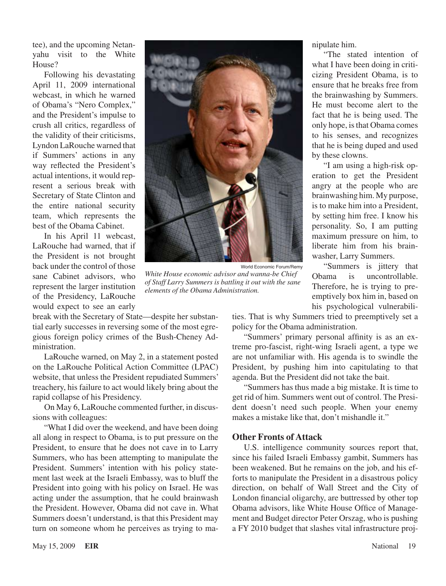tee), and the upcoming Netanyahu visit to the White House?

Following his devastating April 11, 2009 international webcast, in which he warned of Obama's "Nero Complex," and the President's impulse to crush all critics, regardless of the validity of their criticisms, Lyndon LaRouche warned that if Summers' actions in any way reflected the President's actual intentions, it would represent a serious break with Secretary of State Clinton and the entire national security team, which represents the best of the Obama Cabinet.

In his April 11 webcast, LaRouche had warned, that if the President is not brought back under the control of those sane Cabinet advisors, who represent the larger institution of the Presidency, LaRouche would expect to see an early

World Economic Forum/Remy *White House economic advisor and wanna-be Chief of Staff Larry Summers is battling it out with the sane elements of the Obama Administration.*

break with the Secretary of State—despite her substantial early successes in reversing some of the most egregious foreign policy crimes of the Bush-Cheney Administration.

LaRouche warned, on May 2, in a statement posted on the LaRouche Political Action Committee (LPAC) website, that unless the President repudiated Summers' treachery, his failure to act would likely bring about the rapid collapse of his Presidency.

On May 6, LaRouche commented further, in discussions with colleagues:

"What I did over the weekend, and have been doing all along in respect to Obama, is to put pressure on the President, to ensure that he does not cave in to Larry Summers, who has been attempting to manipulate the President. Summers' intention with his policy statement last week at the Israeli Embassy, was to bluff the President into going with his policy on Israel. He was acting under the assumption, that he could brainwash the President. However, Obama did not cave in. What Summers doesn't understand, is that this President may turn on someone whom he perceives as trying to ma-



"The stated intention of what I have been doing in criticizing President Obama, is to ensure that he breaks free from the brainwashing by Summers. He must become alert to the fact that he is being used. The only hope, isthat Obama comes to his senses, and recognizes that he is being duped and used by these clowns.

"I am using a high-risk operation to get the President angry at the people who are brainwashing him. My purpose, is to make him into a President, by setting him free. I know his personality. So, I am putting maximum pressure on him, to liberate him from his brainwasher, Larry Summers.

"Summers is jittery that Obama is uncontrollable. Therefore, he is trying to preemptively box him in, based on his psychological vulnerabili-

ties. That is why Summers tried to preemptively set a policy for the Obama administration.

"Summers' primary personal affinity is as an extreme pro-fascist, right-wing Israeli agent, a type we are not unfamiliar with. His agenda is to swindle the President, by pushing him into capitulating to that agenda. But the President did not take the bait.

"Summers has thus made a big mistake. It is time to get rid of him. Summers went out of control. The President doesn't need such people. When your enemy makes a mistake like that, don't mishandle it."

#### **Other Fronts of Attack**

U.S. intelligence community sources report that, since his failed Israeli Embassy gambit, Summers has been weakened. But he remains on the job, and his efforts to manipulate the President in a disastrous policy direction, on behalf of Wall Street and the City of London financial oligarchy, are buttressed by other top Obama advisors, like White House Office of Management and Budget director Peter Orszag, who is pushing a FY 2010 budget that slashes vital infrastructure proj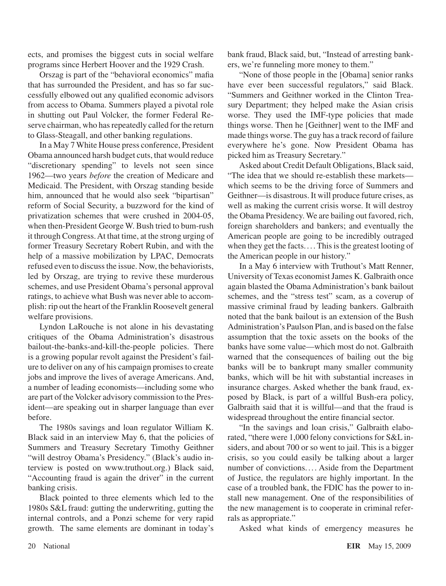ects, and promises the biggest cuts in social welfare programs since Herbert Hoover and the 1929 Crash.

Orszag is part of the "behavioral economics" mafia that has surrounded the President, and has so far successfully elbowed out any qualified economic advisors from access to Obama. Summers played a pivotal role in shutting out Paul Volcker, the former Federal Reserve chairman, who has repeatedly called for the return to Glass-Steagall, and other banking regulations.

In a May 7 White House press conference, President Obama announced harsh budget cuts, that would reduce "discretionary spending" to levels not seen since 1962—two years *before* the creation of Medicare and Medicaid. The President, with Orszag standing beside him, announced that he would also seek "bipartisan" reform of Social Security, a buzzword for the kind of privatization schemes that were crushed in 2004-05, when then-President George W. Bush tried to bum-rush it through Congress.At that time, at the strong urging of former Treasury Secretary Robert Rubin, and with the help of a massive mobilization by LPAC, Democrats refused even to discussthe issue. Now, the behaviorists, led by Orszag, are trying to revive these murderous schemes, and use President Obama's personal approval ratings, to achieve what Bush was never able to accomplish: rip out the heart of the Franklin Roosevelt general welfare provisions.

Lyndon LaRouche is not alone in his devastating critiques of the Obama Administration's disastrous bailout-the-banks-and-kill-the-people policies. There is a growing popular revolt against the President's failure to deliver on any of his campaign promisesto create jobs and improve the lives of average Americans. And, a number of leading economists—including some who are part of the Volcker advisory commission to the President—are speaking out in sharper language than ever before.

The 1980s savings and loan regulator William K. Black said in an interview May 6, that the policies of Summers and Treasury Secretary Timothy Geithner "will destroy Obama's Presidency." (Black's audio interview is posted on www.truthout.org.) Black said, "Accounting fraud is again the driver" in the current banking crisis.

Black pointed to three elements which led to the 1980s S&L fraud: gutting the underwriting, gutting the internal controls, and a Ponzi scheme for very rapid growth. The same elements are dominant in today's

bank fraud, Black said, but, "Instead of arresting bankers, we're funneling more money to them."

"None of those people in the [Obama] senior ranks have ever been successful regulators," said Black. "Summers and Geithner worked in the Clinton Treasury Department; they helped make the Asian crisis worse. They used the IMF-type policies that made things worse. Then he [Geithner] went to the IMF and made things worse. The guy has a track record of failure everywhere he's gone. Now President Obama has picked him as Treasury Secretary."

Asked about Credit Default Obligations, Black said, "The idea that we should re-establish these markets which seems to be the driving force of Summers and Geithner—is disastrous. It will produce future crises, as well as making the current crisis worse. It will destroy the Obama Presidency. We are bailing out favored, rich, foreign shareholders and bankers; and eventually the American people are going to be incredibly outraged when they get the facts.... This is the greatest looting of the American people in our history."

In a May 6 interview with Truthout's Matt Renner, University of Texas economistJames K. Galbraith once again blasted the Obama Administration's bank bailout schemes, and the "stress test" scam, as a coverup of massive criminal fraud by leading bankers. Galbraith noted that the bank bailout is an extension of the Bush Administration's Paulson Plan, and is based on the false assumption that the toxic assets on the books of the banks have some value—which most do not. Galbraith warned that the consequences of bailing out the big banks will be to bankrupt many smaller community banks, which will be hit with substantial increases in insurance charges. Asked whether the bank fraud, exposed by Black, is part of a willful Bush-era policy, Galbraith said that it is willful—and that the fraud is widespread throughout the entire financial sector.

"In the savings and loan crisis," Galbraith elaborated, "there were 1,000 felony convictions for S&L insiders, and about 700 or so went to jail. This is a bigger crisis, so you could easily be talking about a larger number of convictions.... Aside from the Department of Justice, the regulators are highly important. In the case of a troubled bank, the FDIC has the power to install new management. One of the responsibilities of the new management is to cooperate in criminal referrals as appropriate."

Asked what kinds of emergency measures he